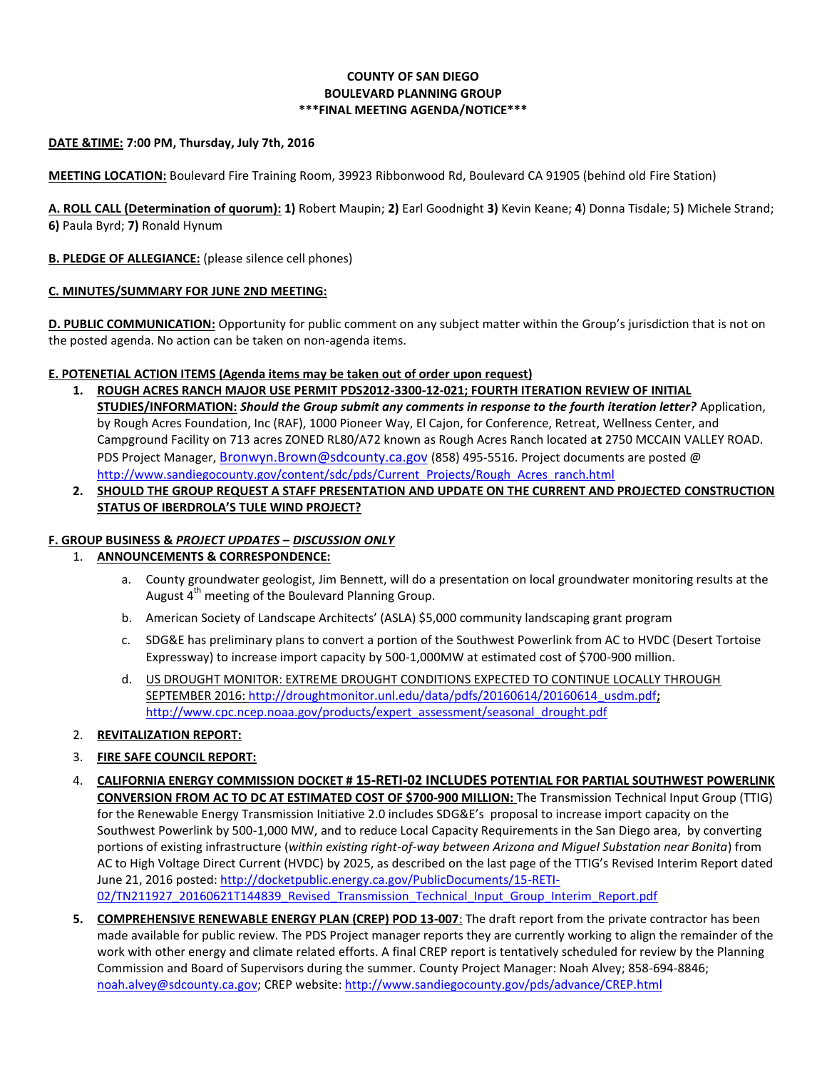## **COUNTY OF SAN DIEGO BOULEVARD PLANNING GROUP \*\*\*FINAL MEETING AGENDA/NOTICE\*\*\***

## **DATE &TIME: 7:00 PM, Thursday, July 7th, 2016**

**MEETING LOCATION:** Boulevard Fire Training Room, 39923 Ribbonwood Rd, Boulevard CA 91905 (behind old Fire Station)

**A. ROLL CALL (Determination of quorum): 1)** Robert Maupin; **2)** Earl Goodnight **3)** Kevin Keane; **4**) Donna Tisdale; 5**)** Michele Strand; **6)** Paula Byrd; **7)** Ronald Hynum

### **B. PLEDGE OF ALLEGIANCE:** (please silence cell phones)

#### **C. MINUTES/SUMMARY FOR JUNE 2ND MEETING:**

**D. PUBLIC COMMUNICATION:** Opportunity for public comment on any subject matter within the Group's jurisdiction that is not on the posted agenda. No action can be taken on non-agenda items.

### **E. POTENETIAL ACTION ITEMS (Agenda items may be taken out of order upon request)**

- **1. ROUGH ACRES RANCH MAJOR USE PERMIT PDS2012-3300-12-021; FOURTH ITERATION REVIEW OF INITIAL STUDIES/INFORMATION:** *Should the Group submit any comments in response to the fourth iteration letter?* Application, by Rough Acres Foundation, Inc (RAF), 1000 Pioneer Way, El Cajon, for Conference, Retreat, Wellness Center, and Campground Facility on 713 acres ZONED RL80/A72 known as Rough Acres Ranch located a**t** 2750 MCCAIN VALLEY ROAD. PDS Project Manager, [Bronwyn.Brown@sdcounty.ca.gov](mailto:Bronwyn.Brown@sdcounty.ca.gov) (858) 495-5516. Project documents are posted @ [http://www.sandiegocounty.gov/content/sdc/pds/Current\\_Projects/Rough\\_Acres\\_ranch.html](http://www.sandiegocounty.gov/content/sdc/pds/Current_Projects/Rough_Acres_ranch.html)
- **2. SHOULD THE GROUP REQUEST A STAFF PRESENTATION AND UPDATE ON THE CURRENT AND PROJECTED CONSTRUCTION STATUS OF IBERDROLA'S TULE WIND PROJECT?**

## **F. GROUP BUSINESS &** *PROJECT UPDATES* **–** *DISCUSSION ONLY*

## 1. **ANNOUNCEMENTS & CORRESPONDENCE:**

- a. County groundwater geologist, Jim Bennett, will do a presentation on local groundwater monitoring results at the August 4<sup>th</sup> meeting of the Boulevard Planning Group.
- b. American Society of Landscape Architects' (ASLA) \$5,000 community landscaping grant program
- c. SDG&E has preliminary plans to convert a portion of the Southwest Powerlink from AC to HVDC (Desert Tortoise Expressway) to increase import capacity by 500-1,000MW at estimated cost of \$700-900 million.
- d. US DROUGHT MONITOR: EXTREME DROUGHT CONDITIONS EXPECTED TO CONTINUE LOCALLY THROUGH SEPTEMBER 2016: [http://droughtmonitor.unl.edu/data/pdfs/20160614/20160614\\_usdm.pdf](http://droughtmonitor.unl.edu/data/pdfs/20160614/20160614_usdm.pdf)**;**  [http://www.cpc.ncep.noaa.gov/products/expert\\_assessment/seasonal\\_drought.pdf](http://www.cpc.ncep.noaa.gov/products/expert_assessment/seasonal_drought.pdf)
- 2. **REVITALIZATION REPORT:**
- 3. **FIRE SAFE COUNCIL REPORT:**
- 4. **CALIFORNIA ENERGY COMMISSION DOCKET # 15-RETI-02 INCLUDES POTENTIAL FOR PARTIAL SOUTHWEST POWERLINK CONVERSION FROM AC TO DC AT ESTIMATED COST OF \$700-900 MILLION:** The Transmission Technical Input Group (TTIG) for the Renewable Energy Transmission Initiative 2.0 includes SDG&E's proposal to increase import capacity on the Southwest Powerlink by 500-1,000 MW, and to reduce Local Capacity Requirements in the San Diego area, by converting portions of existing infrastructure (*within existing right-of-way between Arizona and Miguel Substation near Bonita*) from AC to High Voltage Direct Current (HVDC) by 2025, as described on the last page of the TTIG's Revised Interim Report dated June 21, 2016 posted: [http://docketpublic.energy.ca.gov/PublicDocuments/15-RETI-](http://docketpublic.energy.ca.gov/PublicDocuments/15-RETI-02/TN211927_20160621T144839_Revised_Transmission_Technical_Input_Group_Interim_Report.pdf)[02/TN211927\\_20160621T144839\\_Revised\\_Transmission\\_Technical\\_Input\\_Group\\_Interim\\_Report.pdf](http://docketpublic.energy.ca.gov/PublicDocuments/15-RETI-02/TN211927_20160621T144839_Revised_Transmission_Technical_Input_Group_Interim_Report.pdf)
- **5. COMPREHENSIVE RENEWABLE ENERGY PLAN (CREP) POD 13-007**: The draft report from the private contractor has been made available for public review. The PDS Project manager reports they are currently working to align the remainder of the work with other energy and climate related efforts. A final CREP report is tentatively scheduled for review by the Planning Commission and Board of Supervisors during the summer. County Project Manager: Noah Alvey; 858-694-8846; [noah.alvey@sdcounty.ca.gov;](mailto:noah.alvey@sdcounty.ca.gov) CREP website[: http://www.sandiegocounty.gov/pds/advance/CREP.html](http://www.sandiegocounty.gov/pds/advance/CREP.html)